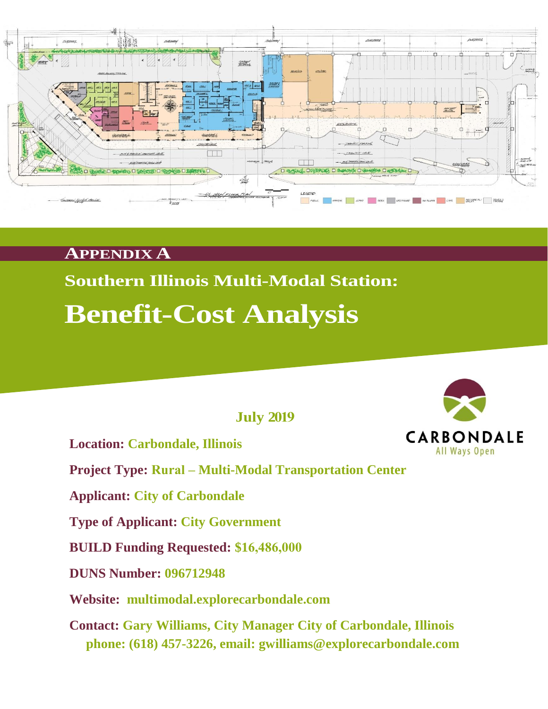

### **APPENDIX A**

# **Southern Illinois Multi-Modal Station: Benefit-Cost Analysis**

**July 2019**

**Location: Carbondale, Illinois**

**Project Type: Rural – Multi-Modal Transportation Center**

**Applicant: City of Carbondale** 

**Type of Applicant: City Government** 

**BUILD Funding Requested: \$16,486,000** 

**DUNS Number: 096712948** 

**Website: multimodal.explorecarbondale.com** 

**Contact: Gary Williams, City Manager City of Carbondale, Illinois phone: (618) 457-3226, email: gwilliams@explorecarbondale.com**

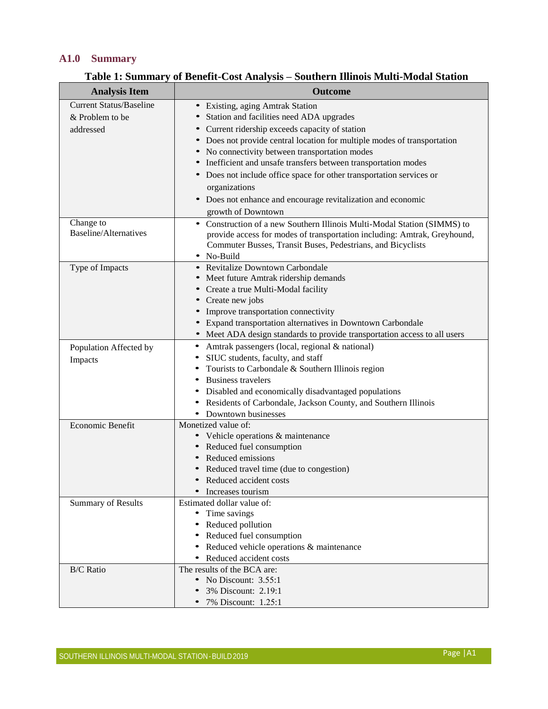#### **A1.0 Summary**

| <b>Analysis Item</b>                      | <b>Outcome</b>                                                            |
|-------------------------------------------|---------------------------------------------------------------------------|
| <b>Current Status/Baseline</b>            | • Existing, aging Amtrak Station                                          |
| & Problem to be                           | Station and facilities need ADA upgrades                                  |
| addressed                                 | • Current ridership exceeds capacity of station                           |
|                                           | • Does not provide central location for multiple modes of transportation  |
|                                           | • No connectivity between transportation modes                            |
|                                           | Inefficient and unsafe transfers between transportation modes             |
|                                           | • Does not include office space for other transportation services or      |
|                                           | organizations                                                             |
|                                           | • Does not enhance and encourage revitalization and economic              |
|                                           | growth of Downtown                                                        |
| Change to<br><b>Baseline/Alternatives</b> | • Construction of a new Southern Illinois Multi-Modal Station (SIMMS) to  |
|                                           | provide access for modes of transportation including: Amtrak, Greyhound,  |
|                                           | Commuter Busses, Transit Buses, Pedestrians, and Bicyclists<br>• No-Build |
| Type of Impacts                           | • Revitalize Downtown Carbondale                                          |
|                                           | • Meet future Amtrak ridership demands                                    |
|                                           | • Create a true Multi-Modal facility                                      |
|                                           | • Create new jobs                                                         |
|                                           | • Improve transportation connectivity                                     |
|                                           | • Expand transportation alternatives in Downtown Carbondale               |
|                                           | • Meet ADA design standards to provide transportation access to all users |
| Population Affected by                    | Amtrak passengers (local, regional & national)                            |
| Impacts                                   | SIUC students, faculty, and staff                                         |
|                                           | Tourists to Carbondale & Southern Illinois region                         |
|                                           | <b>Business travelers</b>                                                 |
|                                           | • Disabled and economically disadvantaged populations                     |
|                                           | Residents of Carbondale, Jackson County, and Southern Illinois            |
|                                           | • Downtown businesses                                                     |
| Economic Benefit                          | Monetized value of:                                                       |
|                                           | • Vehicle operations & maintenance                                        |
|                                           | • Reduced fuel consumption<br>Reduced emissions                           |
|                                           | Reduced travel time (due to congestion)                                   |
|                                           | • Reduced accident costs                                                  |
|                                           | Increases tourism                                                         |
| <b>Summary of Results</b>                 | Estimated dollar value of:                                                |
|                                           | Time savings                                                              |
|                                           | Reduced pollution                                                         |
|                                           | Reduced fuel consumption                                                  |
|                                           | • Reduced vehicle operations & maintenance                                |
|                                           | • Reduced accident costs                                                  |
| <b>B/C</b> Ratio                          | The results of the BCA are:                                               |
|                                           | • No Discount: $3.55:1$                                                   |
|                                           | 3% Discount: 2.19:1                                                       |
|                                           | 7% Discount: 1.25:1                                                       |

### **Table 1: Summary of Benefit-Cost Analysis – Southern Illinois Multi-Modal Station**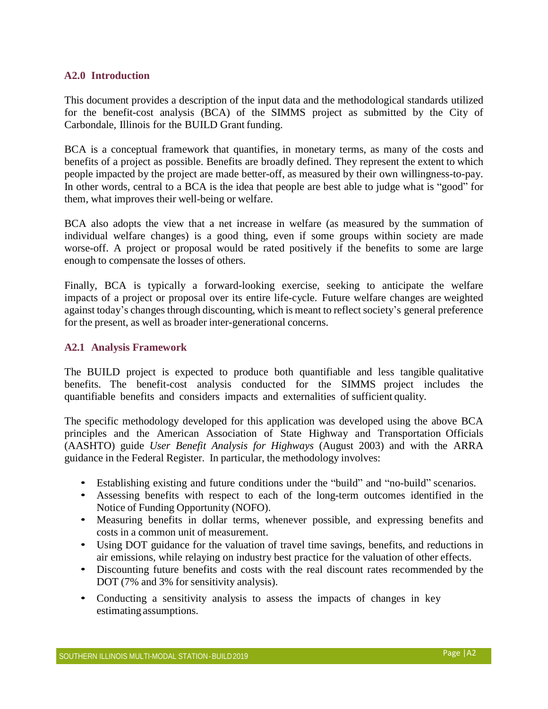#### **A2.0 Introduction**

This document provides a description of the input data and the methodological standards utilized for the benefit-cost analysis (BCA) of the SIMMS project as submitted by the City of Carbondale, Illinois for the BUILD Grant funding.

BCA is a conceptual framework that quantifies, in monetary terms, as many of the costs and benefits of a project as possible. Benefits are broadly defined. They represent the extent to which people impacted by the project are made better-off, as measured by their own willingness-to-pay. In other words, central to a BCA is the idea that people are best able to judge what is "good" for them, what improves their well-being or welfare.

BCA also adopts the view that a net increase in welfare (as measured by the summation of individual welfare changes) is a good thing, even if some groups within society are made worse-off. A project or proposal would be rated positively if the benefits to some are large enough to compensate the losses of others.

Finally, BCA is typically a forward-looking exercise, seeking to anticipate the welfare impacts of a project or proposal over its entire life-cycle. Future welfare changes are weighted against today's changes through discounting, which is meant to reflect society's general preference for the present, as well as broader inter-generational concerns.

#### **A2.1 Analysis Framework**

The BUILD project is expected to produce both quantifiable and less tangible qualitative benefits. The benefit-cost analysis conducted for the SIMMS project includes the quantifiable benefits and considers impacts and externalities of sufficient quality.

The specific methodology developed for this application was developed using the above BCA principles and the American Association of State Highway and Transportation Officials (AASHTO) guide *User Benefit Analysis for Highways* (August 2003) and with the ARRA guidance in the Federal Register. In particular, the methodology involves:

- Establishing existing and future conditions under the "build" and "no-build" scenarios.
- Assessing benefits with respect to each of the long-term outcomes identified in the Notice of Funding Opportunity (NOFO).
- Measuring benefits in dollar terms, whenever possible, and expressing benefits and costs in a common unit of measurement.
- Using DOT guidance for the valuation of travel time savings, benefits, and reductions in air emissions, while relaying on industry best practice for the valuation of other effects.
- Discounting future benefits and costs with the real discount rates recommended by the DOT (7% and 3% for sensitivity analysis).
- Conducting a sensitivity analysis to assess the impacts of changes in key estimating assumptions.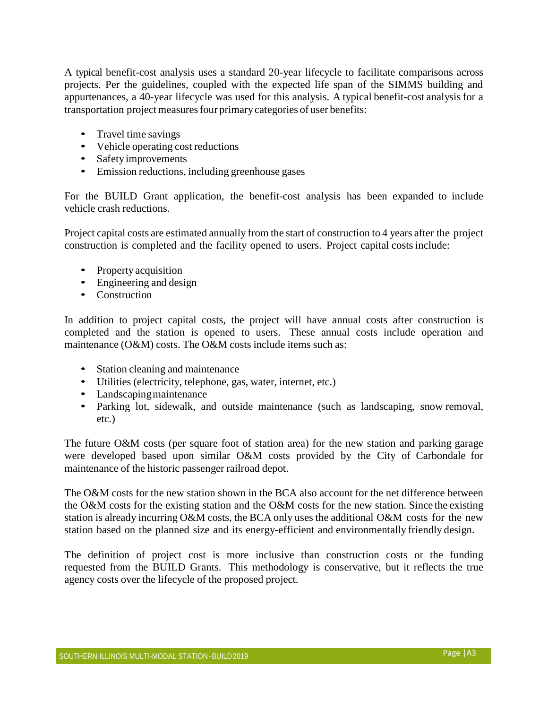A typical benefit-cost analysis uses a standard 20-year lifecycle to facilitate comparisons across projects. Per the guidelines, coupled with the expected life span of the SIMMS building and appurtenances, a 40-year lifecycle was used for this analysis. A typical benefit-cost analysis for a transportation project measures four primary categories of user benefits:

- Travel time savings
- Vehicle operating cost reductions
- Safety improvements
- Emission reductions, including greenhouse gases

For the BUILD Grant application, the benefit-cost analysis has been expanded to include vehicle crash reductions.

Project capital costs are estimated annually from the start of construction to 4 years after the project construction is completed and the facility opened to users. Project capital costs include:

- Property acquisition
- Engineering and design
- Construction

In addition to project capital costs, the project will have annual costs after construction is completed and the station is opened to users. These annual costs include operation and maintenance (O&M) costs. The O&M costs include items such as:

- Station cleaning and maintenance
- Utilities (electricity, telephone, gas, water, internet, etc.)
- Landscaping maintenance
- Parking lot, sidewalk, and outside maintenance (such as landscaping, snow removal, etc.)

The future O&M costs (per square foot of station area) for the new station and parking garage were developed based upon similar O&M costs provided by the City of Carbondale for maintenance of the historic passenger railroad depot.

The O&M costs for the new station shown in the BCA also account for the net difference between the O&M costs for the existing station and the O&M costs for the new station. Since the existing station is already incurring O&M costs, the BCA only uses the additional O&M costs for the new station based on the planned size and its energy-efficient and environmentally friendly design.

The definition of project cost is more inclusive than construction costs or the funding requested from the BUILD Grants. This methodology is conservative, but it reflects the true agency costs over the lifecycle of the proposed project.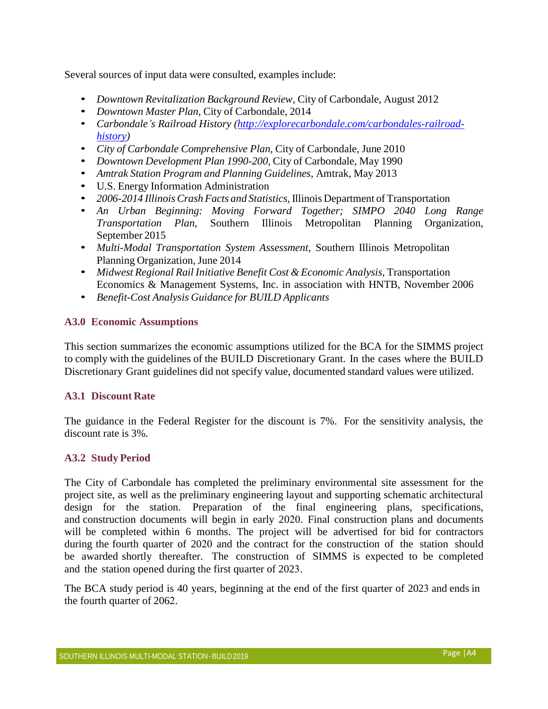Several sources of input data were consulted, examples include:

- *Downtown Revitalization Background Review,* City of Carbondale, August 2012
- *Downtown Master Plan*, City of Carbondale, 2014
- *Carbondale's Railroad History [\(http://explorecarbondale.com/carbondales-railroad](http://explorecarbondale.com/carbondales-railroad-history)[history\)](http://explorecarbondale.com/carbondales-railroad-history)*
- *City of Carbondale Comprehensive Plan,* City of Carbondale, June 2010
- *Downtown Development Plan 1990-200*, City of Carbondale, May 1990
- *Amtrak Station Program and Planning Guidelines,* Amtrak, May 2013
- U.S. Energy Information Administration
- *2006-2014 Illinois Crash Facts and Statistics,* Illinois Department of Transportation
- *An Urban Beginning: Moving Forward Together; SIMPO 2040 Long Range Transportation Plan,* Southern Illinois Metropolitan Planning Organization, September 2015
- *Multi-Modal Transportation System Assessment,* Southern Illinois Metropolitan Planning Organization, June 2014
- *Midwest Regional Rail Initiative Benefit Cost & Economic Analysis,* Transportation Economics & Management Systems, Inc. in association with HNTB, November 2006
- *Benefit-Cost Analysis Guidance for BUILD Applicants*

#### **A3.0 Economic Assumptions**

This section summarizes the economic assumptions utilized for the BCA for the SIMMS project to comply with the guidelines of the BUILD Discretionary Grant. In the cases where the BUILD Discretionary Grant guidelines did not specify value, documented standard values were utilized.

#### **A3.1 Discount Rate**

The guidance in the Federal Register for the discount is 7%. For the sensitivity analysis, the discount rate is 3%.

#### **A3.2 Study Period**

The City of Carbondale has completed the preliminary environmental site assessment for the project site, as well as the preliminary engineering layout and supporting schematic architectural design for the station. Preparation of the final engineering plans, specifications, and construction documents will begin in early 2020. Final construction plans and documents will be completed within 6 months. The project will be advertised for bid for contractors during the fourth quarter of 2020 and the contract for the construction of the station should be awarded shortly thereafter. The construction of SIMMS is expected to be completed and the station opened during the first quarter of 2023.

The BCA study period is 40 years, beginning at the end of the first quarter of 2023 and ends in the fourth quarter of 2062.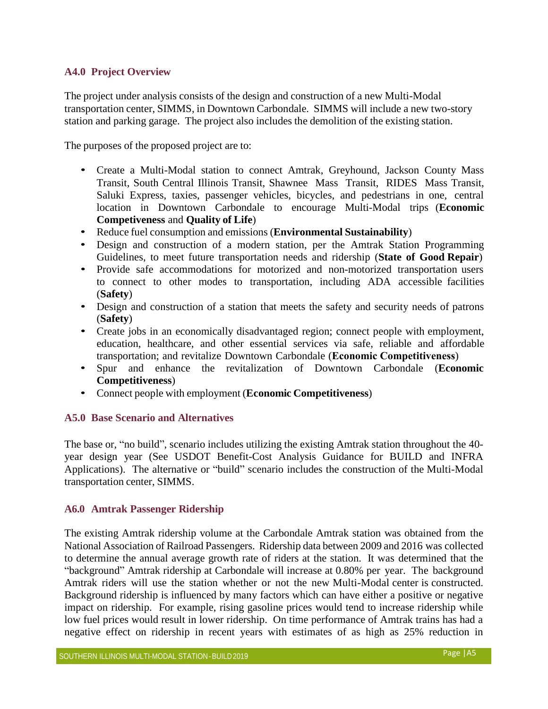#### **A4.0 Project Overview**

The project under analysis consists of the design and construction of a new Multi-Modal transportation center, SIMMS, in Downtown Carbondale. SIMMS will include a new two-story station and parking garage. The project also includes the demolition of the existing station.

The purposes of the proposed project are to:

- Create a Multi-Modal station to connect Amtrak, Greyhound, Jackson County Mass Transit, South Central Illinois Transit, Shawnee Mass Transit, RIDES Mass Transit, Saluki Express, taxies, passenger vehicles, bicycles, and pedestrians in one, central location in Downtown Carbondale to encourage Multi-Modal trips (**Economic Competiveness** and **Quality of Life**)
- Reduce fuel consumption and emissions (**Environmental Sustainability**)
- Design and construction of a modern station, per the Amtrak Station Programming Guidelines, to meet future transportation needs and ridership (**State of Good Repair**)
- Provide safe accommodations for motorized and non-motorized transportation users to connect to other modes to transportation, including ADA accessible facilities (**Safety**)
- Design and construction of a station that meets the safety and security needs of patrons (**Safety**)
- Create jobs in an economically disadvantaged region; connect people with employment, education, healthcare, and other essential services via safe, reliable and affordable transportation; and revitalize Downtown Carbondale (**Economic Competitiveness**)
- Spur and enhance the revitalization of Downtown Carbondale (**Economic Competitiveness**)
- Connect people with employment (**Economic Competitiveness**)

#### **A5.0 Base Scenario and Alternatives**

The base or, "no build", scenario includes utilizing the existing Amtrak station throughout the 40 year design year (See USDOT Benefit-Cost Analysis Guidance for BUILD and INFRA Applications). The alternative or "build" scenario includes the construction of the Multi-Modal transportation center, SIMMS.

#### **A6.0 Amtrak Passenger Ridership**

The existing Amtrak ridership volume at the Carbondale Amtrak station was obtained from the National Association of Railroad Passengers. Ridership data between 2009 and 2016 was collected to determine the annual average growth rate of riders at the station. It was determined that the "background" Amtrak ridership at Carbondale will increase at 0.80% per year. The background Amtrak riders will use the station whether or not the new Multi-Modal center is constructed. Background ridership is influenced by many factors which can have either a positive or negative impact on ridership. For example, rising gasoline prices would tend to increase ridership while low fuel prices would result in lower ridership. On time performance of Amtrak trains has had a negative effect on ridership in recent years with estimates of as high as 25% reduction in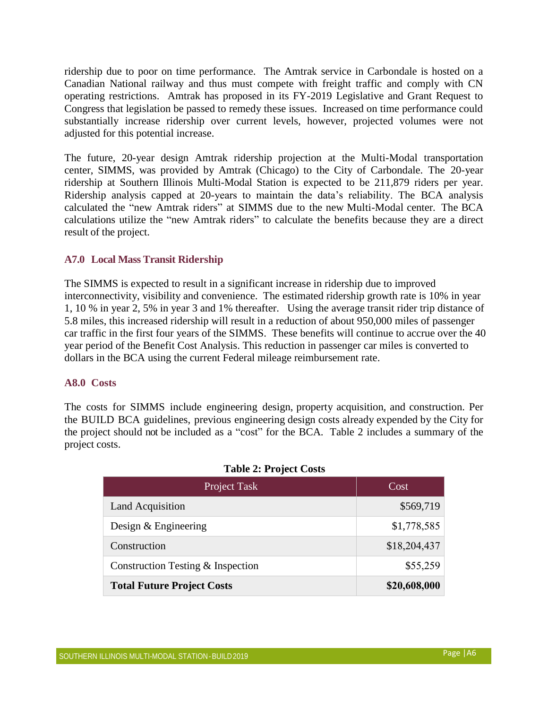ridership due to poor on time performance. The Amtrak service in Carbondale is hosted on a Canadian National railway and thus must compete with freight traffic and comply with CN operating restrictions. Amtrak has proposed in its FY-2019 Legislative and Grant Request to Congress that legislation be passed to remedy these issues. Increased on time performance could substantially increase ridership over current levels, however, projected volumes were not adjusted for this potential increase.

The future, 20-year design Amtrak ridership projection at the Multi-Modal transportation center, SIMMS, was provided by Amtrak (Chicago) to the City of Carbondale. The 20-year ridership at Southern Illinois Multi-Modal Station is expected to be 211,879 riders per year. Ridership analysis capped at 20-years to maintain the data's reliability. The BCA analysis calculated the "new Amtrak riders" at SIMMS due to the new Multi-Modal center. The BCA calculations utilize the "new Amtrak riders" to calculate the benefits because they are a direct result of the project.

#### **A7.0 Local Mass Transit Ridership**

The SIMMS is expected to result in a significant increase in ridership due to improved interconnectivity, visibility and convenience. The estimated ridership growth rate is 10% in year 1, 10 % in year 2, 5% in year 3 and 1% thereafter. Using the average transit rider trip distance of 5.8 miles, this increased ridership will result in a reduction of about 950,000 miles of passenger car traffic in the first four years of the SIMMS. These benefits will continue to accrue over the 40 year period of the Benefit Cost Analysis. This reduction in passenger car miles is converted to dollars in the BCA using the current Federal mileage reimbursement rate.

#### **A8.0 Costs**

The costs for SIMMS include engineering design, property acquisition, and construction. Per the BUILD BCA guidelines, previous engineering design costs already expended by the City for the project should not be included as a "cost" for the BCA. Table 2 includes a summary of the project costs.

| Project Task                        | Cost         |
|-------------------------------------|--------------|
| <b>Land Acquisition</b>             | \$569,719    |
| Design $&$ Engineering              | \$1,778,585  |
| Construction                        | \$18,204,437 |
| Construction Testing $&$ Inspection | \$55,259     |
| <b>Total Future Project Costs</b>   | \$20,608,000 |

#### **Table 2: Project Costs**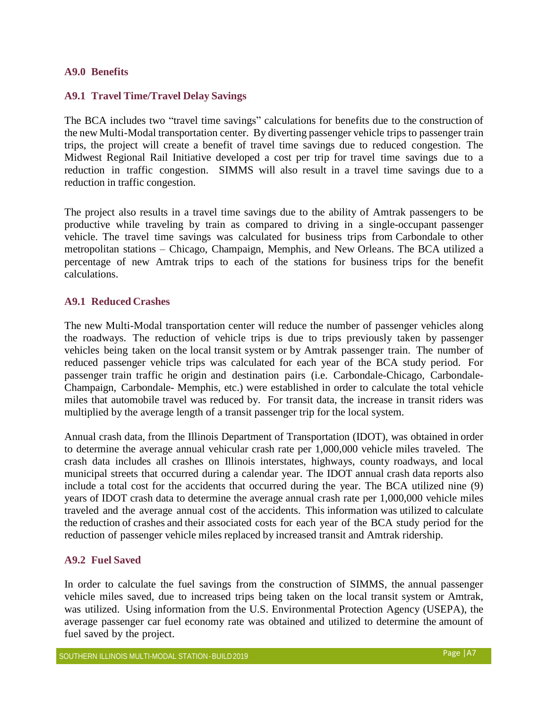#### **A9.0 Benefits**

#### **A9.1 Travel Time/Travel Delay Savings**

The BCA includes two "travel time savings" calculations for benefits due to the construction of the new Multi-Modal transportation center. By diverting passenger vehicle trips to passenger train trips, the project will create a benefit of travel time savings due to reduced congestion. The Midwest Regional Rail Initiative developed a cost per trip for travel time savings due to a reduction in traffic congestion. SIMMS will also result in a travel time savings due to a reduction in traffic congestion.

The project also results in a travel time savings due to the ability of Amtrak passengers to be productive while traveling by train as compared to driving in a single-occupant passenger vehicle. The travel time savings was calculated for business trips from Carbondale to other metropolitan stations – Chicago, Champaign, Memphis, and New Orleans. The BCA utilized a percentage of new Amtrak trips to each of the stations for business trips for the benefit calculations.

#### **A9.1 Reduced Crashes**

The new Multi-Modal transportation center will reduce the number of passenger vehicles along the roadways. The reduction of vehicle trips is due to trips previously taken by passenger vehicles being taken on the local transit system or by Amtrak passenger train. The number of reduced passenger vehicle trips was calculated for each year of the BCA study period. For passenger train traffic he origin and destination pairs (i.e. Carbondale-Chicago, Carbondale-Champaign, Carbondale- Memphis, etc.) were established in order to calculate the total vehicle miles that automobile travel was reduced by. For transit data, the increase in transit riders was multiplied by the average length of a transit passenger trip for the local system.

Annual crash data, from the Illinois Department of Transportation (IDOT), was obtained in order to determine the average annual vehicular crash rate per 1,000,000 vehicle miles traveled. The crash data includes all crashes on Illinois interstates, highways, county roadways, and local municipal streets that occurred during a calendar year. The IDOT annual crash data reports also include a total cost for the accidents that occurred during the year. The BCA utilized nine (9) years of IDOT crash data to determine the average annual crash rate per 1,000,000 vehicle miles traveled and the average annual cost of the accidents. This information was utilized to calculate the reduction of crashes and their associated costs for each year of the BCA study period for the reduction of passenger vehicle miles replaced by increased transit and Amtrak ridership.

#### **A9.2 Fuel Saved**

In order to calculate the fuel savings from the construction of SIMMS, the annual passenger vehicle miles saved, due to increased trips being taken on the local transit system or Amtrak, was utilized. Using information from the U.S. Environmental Protection Agency (USEPA), the average passenger car fuel economy rate was obtained and utilized to determine the amount of fuel saved by the project.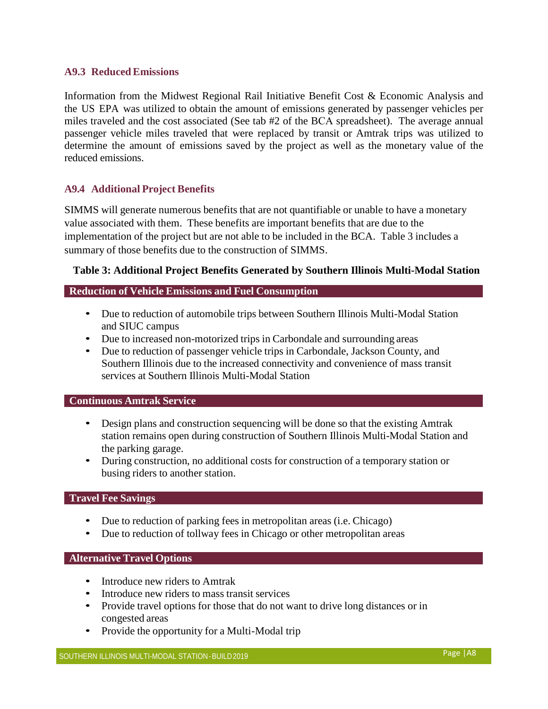#### **A9.3 Reduced Emissions**

Information from the Midwest Regional Rail Initiative Benefit Cost & Economic Analysis and the US EPA was utilized to obtain the amount of emissions generated by passenger vehicles per miles traveled and the cost associated (See tab #2 of the BCA spreadsheet). The average annual passenger vehicle miles traveled that were replaced by transit or Amtrak trips was utilized to determine the amount of emissions saved by the project as well as the monetary value of the reduced emissions.

#### **A9.4 Additional Project Benefits**

SIMMS will generate numerous benefits that are not quantifiable or unable to have a monetary value associated with them. These benefits are important benefits that are due to the implementation of the project but are not able to be included in the BCA. Table 3 includes a summary of those benefits due to the construction of SIMMS.

#### **Table 3: Additional Project Benefits Generated by Southern Illinois Multi-Modal Station**

#### **Reduction of Vehicle Emissions and Fuel Consumption**

- Due to reduction of automobile trips between Southern Illinois Multi-Modal Station and SIUC campus
- Due to increased non-motorized trips in Carbondale and surrounding areas
- Due to reduction of passenger vehicle trips in Carbondale, Jackson County, and Southern Illinois due to the increased connectivity and convenience of mass transit services at Southern Illinois Multi-Modal Station

#### **Continuous Amtrak Service**

- Design plans and construction sequencing will be done so that the existing Amtrak station remains open during construction of Southern Illinois Multi-Modal Station and the parking garage.
- During construction, no additional costs for construction of a temporary station or busing riders to another station.

#### **Travel Fee Savings**

- Due to reduction of parking fees in metropolitan areas (i.e. Chicago)
- Due to reduction of tollway fees in Chicago or other metropolitan areas

#### **Alternative Travel Options**

- Introduce new riders to Amtrak
- Introduce new riders to mass transit services
- Provide travel options for those that do not want to drive long distances or in congested areas
- Provide the opportunity for a Multi-Modal trip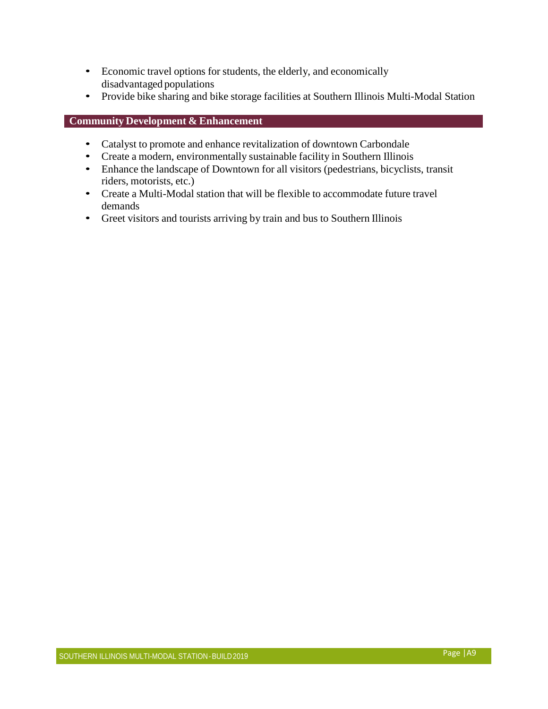- Economic travel options for students, the elderly, and economically disadvantaged populations
- Provide bike sharing and bike storage facilities at Southern Illinois Multi-Modal Station

#### **Community Development & Enhancement**

- Catalyst to promote and enhance revitalization of downtown Carbondale
- Create a modern, environmentally sustainable facility in Southern Illinois
- Enhance the landscape of Downtown for all visitors (pedestrians, bicyclists, transit riders, motorists, etc.)
- Create a Multi-Modal station that will be flexible to accommodate future travel demands
- Greet visitors and tourists arriving by train and bus to Southern Illinois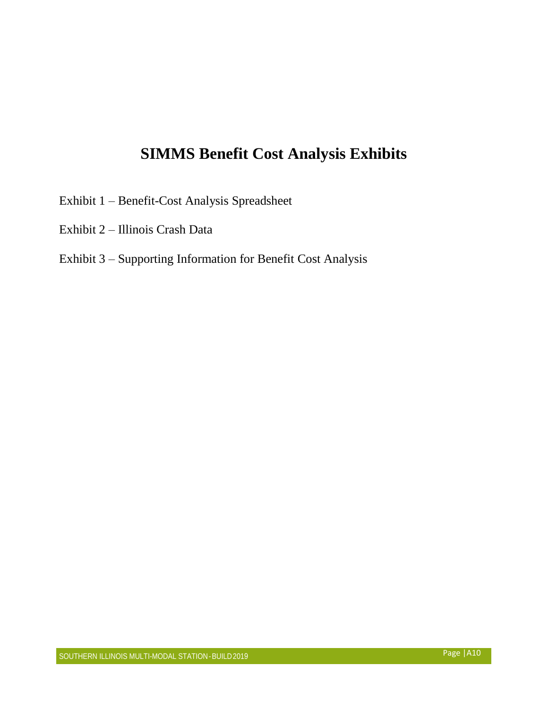## **SIMMS Benefit Cost Analysis Exhibits**

- Exhibit 1 Benefit-Cost Analysis Spreadsheet
- Exhibit 2 Illinois Crash Data

### Exhibit 3 – Supporting Information for Benefit Cost Analysis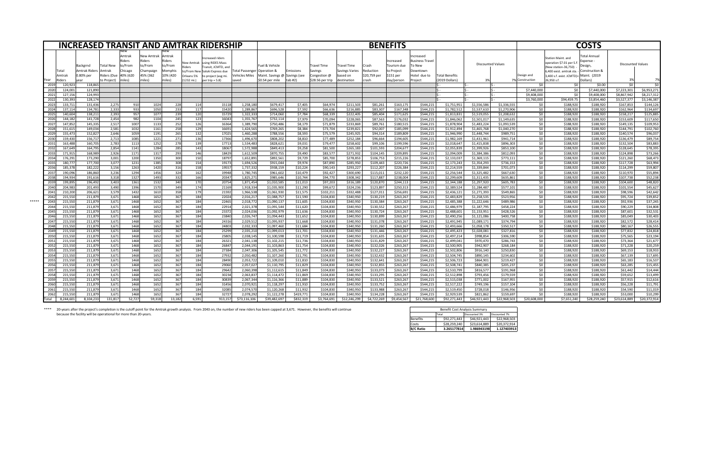\*\*\*\* 20-years after the project's completion is the cutoff point for the Amtrak growth analysis. From 2043 on, the number of new riders has been capped at 3,671. However, the benefits will continue because the facility will be operational for more than 20-years.

|                  |                |           |                                               |                                    |                                                    |                                                                |                                                   |                                    | <b>INCREASED TRANSIT AND AMTRAK RIDERSHIP</b>                                                                     |                                                |                                                                          |                 |                                             |                                           |                                           | <b>BENEFITS</b>                                   |                                                                  |                |                   |              |                     |                                                                                                                              | <b>COSTS</b>                                                       |                   |              |
|------------------|----------------|-----------|-----------------------------------------------|------------------------------------|----------------------------------------------------|----------------------------------------------------------------|---------------------------------------------------|------------------------------------|-------------------------------------------------------------------------------------------------------------------|------------------------------------------------|--------------------------------------------------------------------------|-----------------|---------------------------------------------|-------------------------------------------|-------------------------------------------|---------------------------------------------------|------------------------------------------------------------------|----------------|-------------------|--------------|---------------------|------------------------------------------------------------------------------------------------------------------------------|--------------------------------------------------------------------|-------------------|--------------|
|                  | Total<br>Amtra |           | Backgrnd<br><b>Amtrak Riders</b><br>0.80% per | Fotal New<br>\mtrak<br>Riders (Due | Amtrak<br>iders?<br>to/From<br>Chicago<br>40% (620 | <b>New Amtrak</b><br>Riders<br>to/From<br>Champaig<br>45% (362 | Amtrak<br>Riders<br>to/From<br>Memphi<br>10% (420 | New Amtrak<br>iders?<br>Orleans 5% | ncreased riders<br>using RIDES Mass<br>Transit, JCMTD, and<br>to/From New Saluki Express due<br>to project (avg m | <b>Total Passenge</b><br><b>Vehicles Miles</b> | Fuel & Vehicle<br><b>I</b> Operation &<br>Aaint. Savings @ ISavings (see | imission        | Travel Time<br><b>Savings</b><br>Congestion | Travel Time<br>Savings Varies<br>based on | <b>Crash</b><br>Reduction<br>\$20,759 per | Increase<br>Tourism du<br>to Project<br>\$151 per | ncreased<br>Business Travel<br>o New<br>Downtown<br>Hotel due to | Total Benefits | Discounted Values |              | Design and          | Station Maint. and<br>pperation \$7.01 per S.<br>New station-36,750)<br>.,400 exist. amtrak sta<br>3,400 s.f. exist. JCMTD)= | Total Annua<br>Expense<br>Design<br>Construction 8<br>Maint. (2019 | Discounted Values |              |
|                  | iders:         |           |                                               | to Project) l                      | lmiles)                                            | miles`                                                         | miles)                                            | $(1232 \text{ mi.})$               | per trip = $5.8$ )                                                                                                | <b>saved</b>                                   | \$0.54 per mile                                                          | $\vert$ tab #2) | \$28.56 per trip                            | Idestination                              | <b>I</b> crash                            | day/person                                        | Project                                                          | (2019 Dollars) | -3%               |              | <b>Construction</b> | 26,950 s.1                                                                                                                   | Dollars <sup>'</sup>                                               | 3%                |              |
|                  |                | 120,923   | 118,865                                       |                                    |                                                    |                                                                |                                                   |                                    |                                                                                                                   |                                                |                                                                          |                 |                                             |                                           |                                           |                                                   |                                                                  |                |                   |              | \$0                 | \$0∣                                                                                                                         | \$0.00                                                             | \$0               |              |
|                  |                | 124,00    | 121,890                                       |                                    |                                                    |                                                                |                                                   |                                    |                                                                                                                   |                                                |                                                                          |                 |                                             |                                           |                                           |                                                   |                                                                  |                |                   |              | \$7,440,000         | \$0                                                                                                                          | \$7,440,000                                                        | \$7,223,301       | \$6,953,271  |
| 2021             |                | 127,156   | 124,993                                       |                                    |                                                    |                                                                |                                                   |                                    |                                                                                                                   |                                                |                                                                          |                 |                                             |                                           |                                           |                                                   |                                                                  |                |                   |              | \$9,408,000         | - \$0                                                                                                                        | \$9,408,000                                                        | \$8,867,942       | \$8,217,312  |
| 2022             |                | 130,39    | 128,174                                       |                                    |                                                    |                                                                |                                                   |                                    |                                                                                                                   |                                                |                                                                          |                 |                                             |                                           |                                           |                                                   |                                                                  |                |                   |              | \$3,760,000         | \$94,459.75                                                                                                                  | \$3,854,460                                                        | \$3,527,37        | \$3,146,387  |
| 2023             |                | 133,71    | 131,436                                       | 2,275                              | 910                                                | 1024                                                           | 228                                               |                                    | 15118                                                                                                             | 1,258,18                                       | \$679,417                                                                | \$7,405         | \$64,974                                    | \$211,503                                 | \$81,261                                  | \$163,175                                         | \$544,215                                                        | \$1,751,95     | \$1,556,58        | \$1,336,555  | \$0                 | \$188,920                                                                                                                    | \$188,920                                                          | \$167,853         | \$144,126    |
| 202              |                | 137,11    | 134,781                                       | 2,333                              | 933                                                | 1050                                                           | 233                                               |                                    | 15420                                                                                                             | 1,289,86                                       | \$696,528                                                                | \$7,592         | \$66,63                                     | \$216,885                                 | \$83,307                                  | \$167,348                                         | \$544,215                                                        | \$1,782,51     | \$1,537,61        | \$1,270,906  | \$0\$               | \$188,920                                                                                                                    | \$188,920                                                          | \$162,964         | \$134,697    |
| 202              |                | 140,60    | 138,211                                       | 2,393                              | 957                                                | 1077                                                           | 239                                               | 120                                | 15729                                                                                                             | 1,322,333                                      | \$714,060                                                                | \$7,784         | \$68,339                                    | \$222,40                                  | \$85,404                                  | \$171,625                                         | \$544,215                                                        | \$1,813,83     | \$1,519,05        | \$1,208,632  | \$0                 | \$188,920                                                                                                                    | \$188,920                                                          | \$158,21          | \$125,885    |
| 202(             |                | 144,18    | 141,728                                       | 2,454                              | 982                                                | 1104                                                           | 245                                               |                                    | 16043                                                                                                             | 1,355,76                                       | \$732,114                                                                | \$7,979         | \$70,094                                    | \$228,06                                  | \$87,563                                  | \$176,032                                         | \$544,215                                                        | \$1,846,062    | \$1,501,01        | \$1,149,63   | \$0                 | \$188,920                                                                                                                    | \$188,920                                                          | \$153,609         | \$117,650    |
|                  |                | 147,85    | 145,335                                       | 2,517                              | 1007                                               | 1133                                                           | 252                                               |                                    | 16364                                                                                                             | 1,389,790                                      | \$750,486                                                                | \$8,179         | \$71,879                                    | \$233,869                                 | \$89,761                                  | \$180,515                                         | \$544,215                                                        | \$1,878,90     | \$1,483,224       | \$1,093,539  | \$0                 | \$188,920                                                                                                                    | \$188,920                                                          | \$149,135         | \$109,953    |
|                  |                | 151,61    | 149,034                                       | 2,581                              | 1032                                               | 1161                                                           | 258                                               | 12QI                               | 16691                                                                                                             | 1,424,56!                                      | \$769,265                                                                | \$8,384         | \$73,704                                    | \$239,82                                  | \$92,007                                  | \$185,099                                         | \$544,215                                                        | \$1,912,49     | \$1,465,76        | \$1,040,270  | \$0                 | \$188,920                                                                                                                    | \$188,920                                                          | \$144,791         | \$102,760    |
| 2029             |                | 155,47    | 152,827                                       | 2,646                              | 1059                                               | 1191                                                           | 265                                               | 1321                               | 17025                                                                                                             | 1,460,288                                      | \$788,556                                                                | \$8,593         | \$75,579                                    | \$245,925                                 | \$94,314                                  | \$189,809                                         | \$544,215                                                        | \$1,946,990    | \$1,448,744       | \$989,751    | \$0\$               | \$188,920                                                                                                                    | \$188,920                                                          | \$140,574         | \$96,037     |
| 203              |                | 159,43    | 156,717                                       | 2,713                              | 1085                                               | 1221                                                           | 271                                               | 136I                               | 17366                                                                                                             | 1,496,67                                       | \$808,202                                                                | \$8,810         | \$77,489                                    | \$252,184                                 | \$96,664                                  | \$194,605                                         | \$544,215                                                        | \$1,982,169    | \$1,431,961       | \$941,714    | \$0                 | \$188,920                                                                                                                    | \$188,920                                                          | \$136,479         | \$89,754     |
| 203 <sup>2</sup> |                | 163,488   | 160,705                                       | 2,783                              | 1113                                               | 1252                                                           | 278                                               |                                    | 17713                                                                                                             | 1,534,483                                      | \$828,621                                                                | \$9,031         | \$79,477                                    | \$258,602                                 | \$99,106                                  | \$199,596                                         | \$544,215                                                        | \$2,018,647    | \$1,415,838       | \$896,303    | \$0                 | \$188,920                                                                                                                    | \$188,920                                                          | \$132,504         | \$83,883     |
| 2032             |                | 167,64    | 164,795                                       | 2,854                              | 1141                                               | 1284                                                           | 285                                               | 143I                               | 18067                                                                                                             | 1,572,988                                      | \$849,413                                                                | \$9,258         | \$81,500                                    | \$265,18                                  | \$101,593                                 | \$204,677                                         | \$544,215                                                        | \$2,055,83     | \$1,399,926       | \$853,100    | \$0                 | \$188,920                                                                                                                    | \$188,920                                                          | \$128,645         | \$78,395     |
| 203              |                | 171,91    | 168,989                                       | 2,926                              | 1171                                               | 1317                                                           | 293                                               | 146I                               | 18429                                                                                                             | 1,612,50                                       | \$870,755                                                                | \$9,490         | \$83,577                                    | \$271,93                                  | \$104,145                                 | \$209,895                                         | \$544,215                                                        | \$2,094,00     | \$1,384,386       | \$812,093    | \$0                 | \$188,920                                                                                                                    | \$188,920                                                          | \$124,898         | \$73,266     |
| 2034             |                | 176,29    | 173,290                                       | 3,001                              | 1200                                               | 1350                                                           | 300                                               | 150                                | 18797                                                                                                             | 1,652,89                                       | \$892,561                                                                | \$9,729         | \$85,700                                    | \$278,85                                  | \$106,753                                 | \$215,226                                         | \$544,215                                                        | \$2,133,03     | \$1,369,115       | \$773,111    | \$0                 | \$188,920                                                                                                                    | \$188,920                                                          | \$121,260         | \$68,473     |
| 203              |                | 180,77    | 177,700                                       | 3,077                              | 1231                                               | 1385                                                           | 308                                               | 154l                               | 19173                                                                                                             | 1,694,52                                       | \$915,044                                                                | \$9,974         | \$87,890                                    | \$285,950                                 | \$109,443                                 | \$220,726                                         | \$544,215                                                        | \$2,173,243    | \$1,354,293       | \$736,153    | \$0                 | \$188,920                                                                                                                    | \$188,920                                                          | \$117,728         | \$63,994     |
|                  |                | 185,37    | 182,222                                       | 3,156                              | 1263                                               | 1420                                                           | 316                                               | 1581                               | 19557                                                                                                             | 1,737,33                                       | \$938,159                                                                | \$10,224        | \$90,143                                    | \$293,227                                 | \$112,207                                 | \$226,384                                         | \$544,215                                                        | \$2,214,55     | \$1,339,844       | \$701,073    | \$0                 | \$188,920                                                                                                                    | \$188,920                                                          | \$114,299         | \$59,807     |
| 2037             |                | 190,09    | 186,860                                       | 3,236                              | 1294                                               | 1456                                                           | 324                                               | 162                                | 19948                                                                                                             | 1,780,745                                      | \$961,602                                                                | \$10,479        | \$92,427                                    | \$300,69                                  | \$115,013                                 | \$232,120                                         | \$544,215                                                        | \$2,256,544    | \$1,325,482       | \$667,630    | \$0\$               | \$188,920                                                                                                                    | \$188,920                                                          | \$110,970         | \$55,894     |
| 2038             |                | 194,93    | 191,616                                       | 3,318                              | 1327                                               | 1493                                                           | 332                                               | <b>166</b>                         | 20347                                                                                                             | 1,825,27                                       | \$985,646                                                                | \$10,744        | \$94,770                                    | \$308,342                                 | \$117,887                                 | \$238,004                                         | \$544,215                                                        | \$2,299,60     | \$1,311,435       | \$635,861    | \$0                 | \$188,920                                                                                                                    | \$188,920                                                          | \$107,738         | \$52,238     |
|                  |                | 199,89    | 196,492                                       | 3,403                              | 1361                                               | 1532                                                           | 340                                               |                                    | 20754                                                                                                             | 1,871,454                                      | \$1,010,585                                                              | \$11,013        | \$97,203                                    | \$316,189                                 | \$120,870                                 | \$244,113                                         | \$544,215                                                        | \$2,344,188    | \$1,297,920       | \$605,783    | \$0                 | \$188,920                                                                                                                    | \$188,920                                                          | \$104,600         | \$48,820     |
| 2040             |                | 204,98    | 201,493                                       | 3,490                              | 1396                                               | 1570                                                           | 349                                               | 1741                               | 21169                                                                                                             | 1,918,33                                       | \$1,035,900                                                              | \$11,290        | \$99,672                                    | \$324,23                                  | \$123,897                                 | \$250,313                                         | \$544,215                                                        | \$2,389,52     | \$1,284,487       | \$577,101    | \$0                 | \$188,920                                                                                                                    | \$188,920                                                          | \$101,554         | \$45,627     |
| 2041             |                | 210,200   | 206,621                                       | 3,579                              | 1432                                               | 1610                                                           | 358                                               |                                    | 21592                                                                                                             | 1,966,538                                      | \$1,061,930                                                              | \$11,575        | \$102,211                                   | \$332,488                                 | \$127,011                                 | \$256,691                                         | \$544,215                                                        | \$2,436,121    | \$1,271,393       | \$549,865    | \$0\$               | \$188,920                                                                                                                    | \$188,920                                                          | \$98,596          | \$42,642     |
| 2042             |                | 215,550   | 211,879                                       | 3,671                              | 1468                                               | 1652                                                           | 367                                               | 184                                | 22024                                                                                                             | 2,016,217                                      | \$1,088,757                                                              | \$11,590        | \$104,830                                   | \$340,950                                 | \$130,219                                 | \$263,267                                         | \$544,215                                                        | \$2,483,829    | \$1,258,535       | \$523,956    | \$0                 | \$188,920                                                                                                                    | \$188,920                                                          | \$95,724          | \$39,852     |
| *****<br>2043    |                | 215,550   | 211,879                                       | 3,671                              | 1468                                               | 1652                                                           | 367                                               | 184                                | 22465                                                                                                             | 2,018,772                                      | \$1,090,137                                                              | \$11,605        | \$104,830                                   | \$340,950                                 | \$130,384                                 | \$263,267                                         | \$544,215                                                        | \$2,485,388    | \$1,222,646       | \$489,986    | \$0                 | \$188,920                                                                                                                    | \$188,920                                                          | \$92,936          | \$37,245     |
| 2044             |                | 215,550   | 211,879                                       | 3,671                              | 1468                                               | 1652                                                           | 367                                               | 184I                               | 22914                                                                                                             | 2,021,378                                      | \$1,091,544                                                              | \$11,620        | \$104,830                                   | \$340,95                                  | \$130,552                                 | \$263,267                                         | \$544,215                                                        | \$2,486,979    | \$1,187,795       | \$458,224    | \$0                 | \$188,920                                                                                                                    | \$188,920                                                          | \$90,229          | \$34,808     |
| 2045             |                | 215,550   | 211,879                                       | 3,671                              | 1468                                               | 1652                                                           | 367                                               | 184                                | 23372                                                                                                             | 2,024,036                                      | \$1,092,979                                                              | \$11,636        | \$104,830                                   | \$340,950                                 | \$130,724                                 | \$263,267                                         | \$544,215                                                        | \$2,488,601    | \$1,153,951       | \$428,526    | \$0\$               | \$188,920                                                                                                                    | \$188,920                                                          | \$87,601          | \$32,531     |
| 2046             |                | 215,550   | 211,879                                       | 3,671                              | 1468                                               | 1652                                                           | 367                                               | 184                                | 23840                                                                                                             | 2,026,747                                      | \$1,094,443                                                              | \$11,652        | \$104,830                                   | \$340,950                                 | \$130,899                                 | \$263,267                                         | \$544,215                                                        | \$2,490,256    | \$1,121,086       | \$400,758    | \$0                 | \$188,920                                                                                                                    | \$188,920                                                          | \$85,049          | \$30,403     |
|                  |                | 215,550   | 211,879                                       | 3,671                              | 1468                                               | 1652                                                           | 367                                               | 1841                               | 24316                                                                                                             | 2,029,512                                      | \$1,095,937                                                              | \$11,668        | \$104,830                                   | \$340,950                                 | \$131,078                                 | \$263,267                                         | \$544,215                                                        | \$2,491,945    | \$1,089,171       | \$374,794    | \$0                 | \$188,920                                                                                                                    | \$188,920                                                          | \$82,572          | \$28,414     |
| 2048             |                | 215,550   | 211,879                                       | 3,671                              | 1468                                               | 1652                                                           | 367                                               | 184                                | 24803                                                                                                             | 2,032,333                                      | \$1,097,460                                                              | \$11,684        | \$104,830                                   | \$340,950                                 | \$131,260                                 | \$263,267                                         | \$544,215                                                        | \$2,493,666    | \$1,058,178       | \$350,517    | \$0                 | \$188,920                                                                                                                    | \$188,920                                                          | \$80,167          | \$26,555     |
| 2049             |                | 215,550   | 211,879                                       | 3,671                              | 1468                                               | 1652                                                           | 367                                               | 184                                | 25299                                                                                                             | 2,035,21                                       | \$1,099,013                                                              | \$11,701        | \$104,830                                   | \$340,950                                 | \$131,446                                 | \$263,267                                         | \$544,215                                                        | \$2,495,423    | \$1,028,081       | \$327,816    | \$0                 | \$188,920                                                                                                                    | \$188,920                                                          | \$77,832          | \$24,818     |
| 2050             |                | 215,550   | 211,879                                       | 3,671                              | 1468                                               | 1652                                                           | 367                                               | 184                                | 25805                                                                                                             | 2,038,145                                      | \$1,100,598                                                              | \$11,719        | \$104,830                                   | \$340,950                                 | \$131,635                                 | \$263,267                                         | \$544,215                                                        | \$2,497,214    | \$998,854         | \$306,590    | \$0\$               | \$188,920                                                                                                                    | \$188,920                                                          | \$75,565          | \$23,194     |
| 2051             |                | 215,550   | 211,879                                       | 3,671                              | 1468                                               | 1652                                                           | 367                                               | 184                                | 26321                                                                                                             | 2,041,138                                      | \$1,102,215                                                              | \$11,736        | \$104,830                                   | \$340,950                                 | \$131,829                                 | \$263,267                                         | \$544,215                                                        | \$2,499,041    | \$970,470         | \$286,743    | \$0                 | \$188,920                                                                                                                    | \$188,920                                                          | \$73,364          | \$21,677     |
| 2052             |                | 215,550   | 211,879                                       | 3,671                              | 1468                                               | 1652                                                           | 367                                               | 184                                | 26847                                                                                                             | 2,044,191                                      | \$1,103,863                                                              | \$11,754        | \$104,830                                   | \$340,950                                 | \$132,026                                 | \$263,267                                         | \$544,215                                                        | \$2,500,905    | \$942,907         | \$268,184    | \$0                 | \$188,920                                                                                                                    | \$188,920                                                          | \$71,228          | \$20,259     |
| 2053             |                | 215,550   | 211,879                                       | 3,671                              | 1468                                               | 1652                                                           | 367                                               | 184                                | 27384                                                                                                             | 2,047,306                                      | \$1,105,545                                                              | \$11,772        | \$104,830                                   | \$340,950                                 | \$132,227                                 | \$263,267                                         | \$544,215                                                        | \$2,502,806    | \$916,140         | \$250,830    | \$0\$               | \$188,920                                                                                                                    | \$188,920                                                          | \$69,153          | \$18,933     |
| 2054             |                | 215,550   | 211,879                                       | 3,671                              | 1468                                               | 1652                                                           | 367                                               | 184                                | 27932                                                                                                             | 2,050,482                                      | \$1,107,260                                                              | \$11,791        | \$104,830                                   | \$340,950                                 | \$132,432                                 | \$263,267                                         | \$544,215                                                        | \$2,504,745    | \$890,145         | \$234,602    | \$0\$               | \$188,920                                                                                                                    | \$188,920                                                          | \$67,139          | \$17,695     |
| 2055             |                | 215,550   | 211,879                                       | 3,671                              | 1468                                               | 1652                                                           | 367                                               | 184                                | 28490                                                                                                             | 2,053,722                                      | \$1,109,010                                                              | \$11,810        | \$104,830                                   | \$340,950                                 | \$132,641                                 | \$263,267                                         | \$544,215                                                        | \$2,506,723    | \$864,901         | \$219,427    | \$0\$               | \$188,920                                                                                                                    | \$188,920                                                          | \$65,183          | \$16,537     |
| 2056             |                | 215,550   | 211,879                                       | 3,671                              | 1468                                               | 1652                                                           | 367                                               | 184                                | 29060                                                                                                             | 2,057,027                                      | \$1,110,795                                                              | \$11,829        | \$104,830                                   | \$340,950                                 | \$132,855                                 | \$263,267                                         | \$544,215                                                        | \$2,508,741    | \$840,385         | \$205,237    | \$0                 | \$188,920                                                                                                                    | \$188,920                                                          | \$63,285          | \$15,455     |
| 2057             |                | 215,550   | 211,879                                       | 3,671                              | 1468                                               | 1652                                                           | 367                                               | 184I                               | 29642                                                                                                             | 2,060,398                                      | \$1,112,615                                                              | \$11,849        | \$104,830                                   | \$340,95                                  | \$133,073                                 | \$263,267                                         | \$544,215                                                        | \$2,510,799    | \$816,577         | \$191,968    | \$0                 | \$188,920                                                                                                                    | \$188,920                                                          | \$61,442          | \$14,444     |
| 2058             |                | 215,550   | 211,879                                       | 3,671                              | 1468                                               | 1652                                                           | 367                                               | 184                                | 30234                                                                                                             | 2,063,837                                      | \$1,114,472                                                              | \$11,869        | \$104,830                                   | \$340,950                                 | \$133,295                                 | \$263,267                                         | \$544,215                                                        | \$2,512,898    | \$793,456         | \$179,559    | \$0\$               | \$188,920                                                                                                                    | \$188,920                                                          | \$59,652          | \$13,499     |
| 2059             |                | 215,550   | 211,879                                       | 3,671                              | 1468                                               | 1652                                                           | 367                                               | 184                                | 30839                                                                                                             | 2,067,344                                      | \$1,116,366                                                              | \$11,889        | \$104,830                                   | \$340,950                                 | \$133,521                                 | \$263,267                                         | \$544,215                                                        | \$2,515,038    | \$771,002         | \$167,955    | \$0\$               | \$188,920                                                                                                                    | \$188,920                                                          | \$57,915          | \$12,616     |
| 2060             |                | 215,550   | 211,879                                       | 3,671                              | 1468                                               | 1652                                                           | 367                                               | 184                                | 31456                                                                                                             | 2,070,921                                      | \$1,118,297                                                              | \$11,910        | \$104,830                                   | \$340,950                                 | \$133,752                                 | \$263,267                                         | \$544,215                                                        | \$2,517,222    | \$749,196         | \$157,104    | \$0                 | \$188,920                                                                                                                    | \$188,920                                                          | \$56,228          | \$11,791     |
| 2061             |                | 215,550   | 211,879                                       | 3,671                              | 1468                                               | 1652                                                           | 367                                               | 184                                | 32085                                                                                                             | 2,074,570                                      | \$1,120,268                                                              | \$11,932        | \$104,830                                   | \$340,950                                 | \$133,988                                 | \$263,267                                         | \$544,215                                                        | \$2,519,450    | \$728,018         | \$146,956    | \$0                 | \$188,920                                                                                                                    | \$188,920                                                          | \$54,590          | \$11,019     |
| 2062             |                | 215,550   | 211,879                                       | 3,671                              | 1468                                               | 1652                                                           | 367                                               | 184                                | 32727                                                                                                             | 2,078,292                                      | \$1,122,278                                                              | \$419,771       | \$104,830                                   | \$340,950                                 | \$134,228                                 | \$263,267                                         | \$544,215                                                        | \$2,929,539    | \$821,862         | \$159,697    | \$0\$               | \$188,920                                                                                                                    | \$188,920                                                          | \$53,000          | \$10,299     |
|                  |                | 8,244,601 | 8,104,233                                     | 131,817                            | 52,727                                             | 59,318                                                         | 13,182                                            | 6,591                              | 913,157                                                                                                           | \$73,116,106                                   | \$39,482,697                                                             | \$832,319       | \$3,764,691                                 | \$12,246,299                              | \$4,722,269                               | \$9,454,567                                       | \$21,768,600                                                     | \$92,271,443   | \$46,921,443      | \$22,968,503 | \$20,608,000        | \$7,651,240                                                                                                                  | \$28,259,240                                                       | \$23,614,889      | \$20,372,914 |

| ever, the benefits will continue |                  |              | <b>Benefit Cost Analysis Summary</b> |               |  |  |  |
|----------------------------------|------------------|--------------|--------------------------------------|---------------|--|--|--|
|                                  |                  | <b>Total</b> | Discounted 3%                        | Discounted 7% |  |  |  |
|                                  | <b>Benefits</b>  | \$92,271,443 | \$46,921,443                         | \$22,968,503  |  |  |  |
|                                  | Costs            | \$28,259,240 | \$23,614,889                         | \$20,372,914  |  |  |  |
|                                  | <b>B/C Ratio</b> | 3.265177814  | 1.986943198                          | 1.127403913   |  |  |  |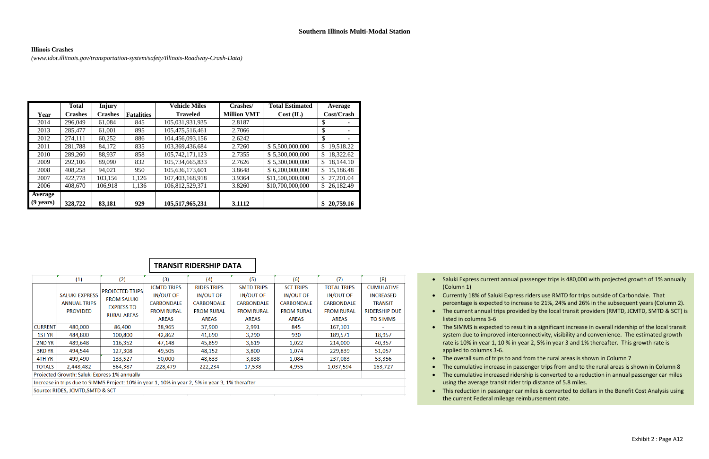#### **Illinois Crashes**

*[\(www.idot.illiinois.gov/transportation-system/safety/Illinois-Roadway-Crash-Data\)](http://www.idot.illiinois.gov/transportation-system/safety/Illinois-Roadway-Crash-Data))*

|                     | <b>Total</b>   | <b>Injury</b>  |                   | <b>Vehicle Miles</b> | Crashes/           | <b>Total Estimated</b> | Average         |
|---------------------|----------------|----------------|-------------------|----------------------|--------------------|------------------------|-----------------|
| Year                | <b>Crashes</b> | <b>Crashes</b> | <b>Fatalities</b> | <b>Traveled</b>      | <b>Million VMT</b> | Cost (IL)              | Cost/Crash      |
| 2014                | 296,049        | 61,084         | 845               | 105,031,931,935      | 2.8187             |                        | \$              |
| 2013                | 285,477        | 61,001         | 895               | 105,475,516,461      | 2.7066             |                        | \$              |
| 2012                | 274,111        | 60,252         | 886               | 104,456,093,156      | 2.6242             |                        | \$              |
| 2011                | 281,788        | 84,172         | 835               | 103,369,436,684      | 2.7260             | \$5,500,000,000        | 19,518.22<br>\$ |
| 2010                | 289,260        | 88,937         | 858               | 105,742,171,123      | 2.7355             | \$5,300,000,000        | 18,322.62<br>\$ |
| 2009                | 292,106        | 89,090         | 832               | 105,734,665,833      | 2.7626             | \$5,300,000,000        | 18,144.10<br>\$ |
| 2008                | 408,258        | 94,021         | 950               | 105,636,173,601      | 3.8648             | \$6,200,000,000        | 15,186.48<br>\$ |
| 2007                | 422,778        | 103,156        | 1,126             | 107,403,168,918      | 3.9364             | \$11,500,000,000       | 27,201.04<br>\$ |
| 2006                | 408,670        | 106,918        | 1,136             | 106,812,529,371      | 3.8260             | \$10,700,000,000       | \$26,182.49     |
| Average             |                |                |                   |                      |                    |                        |                 |
| $(9 \text{ years})$ | 328,722        | 83,181         | 929               | 105,517,965,231      | 3.1112             |                        | 20,759.16       |

• The cumulative increase in passenger trips from and to the rural areas is shown in Column 8 The cumulative increased ridership is converted to a reduction in annual passenger car miles

 Currently 18% of Saluki Express riders use RMTD for trips outside of Carbondale. That percentage is expected to increase to 21%, 24% and 26% in the subsequent years (Column 2). The current annual trips provided by the local transit providers (RMTD, JCMTD, SMTD & SCT) is

 The SIMMS is expected to result in a significant increase in overall ridership of the local transit system due to improved interconnectivity, visibility and convenience. The estimated growth rate is 10% in year 1, 10 % in year 2, 5% in year 3 and 1% thereafter. This growth rate is

• The overall sum of trips to and from the rural areas is shown in Column 7

- (Column 1)
- 
- listed in columns 3-6
- applied to columns 3-6.
- 
- 
- using the average transit rider trip distance of 5.8 miles.
- the current Federal mileage reimbursement rate.

• Saluki Express current annual passenger trips is 480,000 with projected growth of 1% annually

This reduction in passenger car miles is converted to dollars in the Benefit Cost Analysis using

|                                                                                                  |                                                                 |                                                                                         |                                                                                           | <b>TRANSIT RIDERSHIP DATA</b>                                                             |                                                                                                 |                                                                                         |                                                                                           |                                                                                                    |  |
|--------------------------------------------------------------------------------------------------|-----------------------------------------------------------------|-----------------------------------------------------------------------------------------|-------------------------------------------------------------------------------------------|-------------------------------------------------------------------------------------------|-------------------------------------------------------------------------------------------------|-----------------------------------------------------------------------------------------|-------------------------------------------------------------------------------------------|----------------------------------------------------------------------------------------------------|--|
|                                                                                                  | (1)                                                             | (2)                                                                                     | (3)                                                                                       | (4)                                                                                       | (5)                                                                                             | (6)                                                                                     | (7)                                                                                       | (8)                                                                                                |  |
|                                                                                                  | <b>SALUKI EXPRESS</b><br><b>ANNUAL TRIPS</b><br><b>PROVIDED</b> | <b>PROJECTED TRIPS</b><br><b>FROM SALUKI</b><br><b>EXPRESS TO</b><br><b>RURAL AREAS</b> | <b>JCMTD TRIPS</b><br>IN/OUT OF<br><b>CARBONDALE</b><br><b>FROM RURAL</b><br><b>AREAS</b> | <b>RIDES TRIPS</b><br><b>IN/OUT OF</b><br>CARBONDALE<br><b>FROM RURAL</b><br><b>AREAS</b> | <b>SMTD TRIPS</b><br><b>IN/OUT OF</b><br><b>CARBONDALE</b><br><b>FROM RURAL</b><br><b>AREAS</b> | <b>SCT TRIPS</b><br>IN/OUT OF<br><b>CARBONDALE</b><br><b>FROM RURAL</b><br><b>AREAS</b> | <b>TOTAL TRIPS</b><br>IN/OUT OF<br><b>CARBONDALE</b><br><b>FROM RURAL</b><br><b>AREAS</b> | <b>CUMULATIVE</b><br><b>INCREASED</b><br><b>TRANSIT</b><br><b>RIDERSHIP DUE</b><br><b>TO SIMMS</b> |  |
| <b>CURRENT</b>                                                                                   | 480,000                                                         | 86,400                                                                                  | 38,965                                                                                    | 37,900                                                                                    | 2,991                                                                                           | 845                                                                                     | 167,101                                                                                   |                                                                                                    |  |
| 1ST YR                                                                                           | 484,800                                                         | 100,800                                                                                 | 42,862                                                                                    | 41,690                                                                                    | 3,290                                                                                           | 930                                                                                     | 189,571                                                                                   | 18,957                                                                                             |  |
| 2ND YR                                                                                           | 489,648                                                         | 116,352                                                                                 | 47,148                                                                                    | 45,859                                                                                    | 3,619                                                                                           | 1,022                                                                                   | 214,000                                                                                   | 40,357                                                                                             |  |
| 3RD YR                                                                                           | 494,544                                                         | 127,308                                                                                 | 49,505                                                                                    | 48,152                                                                                    | 3,800                                                                                           | 1,074                                                                                   | 229,839                                                                                   | 51,057                                                                                             |  |
| 4TH YR                                                                                           | 499,490                                                         | 133,527                                                                                 | 50,000                                                                                    | 48,633                                                                                    | 3,838                                                                                           | 1,084                                                                                   | 237,083                                                                                   | 53,356                                                                                             |  |
|                                                                                                  | TOTALS<br>2,448,482<br>564,387                                  |                                                                                         | 228,479                                                                                   | 222,234                                                                                   | 17,538                                                                                          | 4,955                                                                                   | 1,037,594                                                                                 | 163,727                                                                                            |  |
| Projected Growth: Saluki Express 1% annually                                                     |                                                                 |                                                                                         |                                                                                           |                                                                                           |                                                                                                 |                                                                                         |                                                                                           |                                                                                                    |  |
| Increase in trips due to SIMMS Project: 10% in year 1, 10% in year 2, 5% in year 3, 1% therafter |                                                                 |                                                                                         |                                                                                           |                                                                                           |                                                                                                 |                                                                                         |                                                                                           |                                                                                                    |  |

Source: RIDES, JCMTD, SMTD & SCT